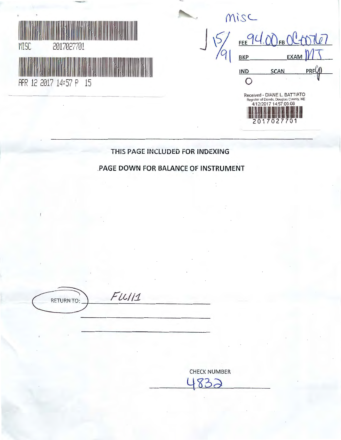

| Misc                                                                                           |                     |      |     |
|------------------------------------------------------------------------------------------------|---------------------|------|-----|
| <b>BKP</b>                                                                                     | FEE 94.00FBOC+07107 | EXAN |     |
| <b>IND</b>                                                                                     | <b>SCAN</b>         |      | PRF |
| Received - DIANE L. BATTIATO<br>Register of Deeds, Douglas County, NE<br>4/12/2017 14:57:05.08 |                     |      |     |

# **THIS PAGE INCLUDED FOR INDEXING**

# **PAGE DOWN FOR BALANCE OF INSTRUMENT**

 $P(t) = F(t)/11$ 

CHECK NUMBER  $832$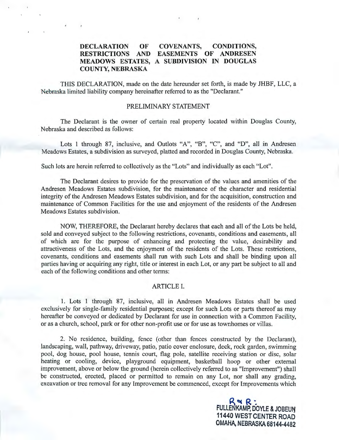#### **DECLARATION OF RESTRICTIONS AND EASEMENTS OF ANDRESEN MEADOWS ESTATES, A SUBDIVISION IN DOUGLAS COUNTY, NEBRASKA COVENANTS, CONDITIONS,**

THIS DECLARATION, made on the date hereunder set forth, is made by JHBF, LLC, a Nebraska limited liability company hereinafter referred to as the "Declarant."

#### PRELIMINARY STATEMENT

The Declarant is the owner of certain real property located within Douglas County, Nebraska and described as follows:

Lots 1 through 87, inclusive, and Outlots "A", "B", "C", and "D", all in Andresen Meadows Estates, a subdivision as surveyed, platted and recorded in Douglas County, Nebraska.

Such lots are herein referred to collectively as the "Lots" and individually as each "Lot".

The Declarant desires to provide for the preservation of the values and amenities of the Andresen Meadows Estates subdivision, for the maintenance of the character and residential integrity of the Andresen Meadows Estates subdivision, and for the acquisition, construction and maintenance of Common Facilities for the use and enjoyment of the residents of the Andresen Meadows Estates subdivision.

NOW, THEREFORE, the Declarant hereby declares that each and all of the Lots be held, sold and conveyed subject to the following restrictions, covenants, conditions and easements, all of which are for the purpose of enhancing and protecting the value, desirability and attractiveness of the Lots, and the enjoyment of the residents of the Lots. These restrictions, covenants, conditions and easements shall run with such Lots and shall be binding upon all parties having or acquiring any right, title or interest in each Lot, or any part be subject to all and each of the following conditions and other terms:

#### ARTICLE I.

1. Lots 1 through 87, inclusive, all in Andresen Meadows Estates shall be used exclusively for single-family residential purposes; except for such Lots or parts thereof as may hereafter be conveyed or dedicated by Declarant for use in connection with a Common Facility, or as a church, school, park or for other non-profit use or for use as townhomes or villas.

2. No residence, building, fence (other than fences constructed by the Declarant), landscaping, wall, pathway, driveway, patio, patio cover enclosure, deck, rock garden, swimming pool, dog house, pool house, tennis court, flag pole, satellite receiving station or disc, solar heating or cooling, device, playground equipment, basketball hoop or other external improvement, above or below the ground (herein collectively referred to as "Improvement") shall be constructed, erected, placed or permitted to remain on any Lot, nor shall any grading, excavation or tree removal for any Improvement be commenced, except for Improvements which

> R~ **R ·** FULLENKAMP, DOYLE & JOBEUN **11440 WEST CENTER ROAD OMAHA. NEBRASKA 6814-t.4482**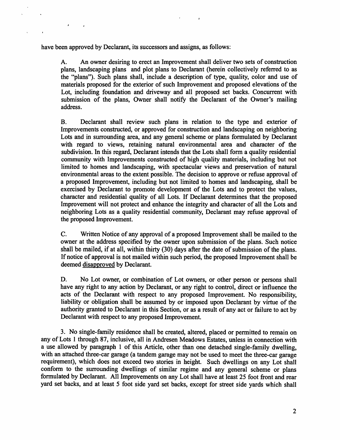have been approved by Declarant, its successors and assigns, as follows:

A. An owner desiring to erect an Improvement shall deliver two sets of construction plans, landscaping plans and plot plans to Declarant (herein collectively referred to as the "plans"). Such plans shall, include a description of type, quality, color and use of materials proposed for the exterior of such Improvement and proposed elevations of the Lot, including foundation and driveway and all proposed set backs. Concurrent with submission of the plans, Owner shall notify the Declarant of the Owner's mailing address.

 $\mathbf{r}$ 

B. Declarant shall review such plans in relation to the type and exterior of Improvements constructed, or approved for construction and landscaping on neighboring Lots and in surrounding area, and any general scheme or plans formulated by Declarant with regard to views, retaining natural environmental area and character of the subdivision. In this regard, Declarant intends that the Lots shall form a quality residential community with Improvements constructed of high quality materials, including but not limited to homes and landscaping, with spectacular views and preservation of natural environmental areas to the extent possible. The decision to approve or refuse approval of a proposed Improvement, including but not limited to homes and landscaping, shall be exercised by Declarant to promote development of the Lots and to protect the values, character and residential quality of all Lots. If Declarant determines that the proposed Improvement will not protect and enhance the integrity and character of all the Lots and neighboring Lots as a quality residential community, Declarant may refuse approval of the proposed Improvement.

C. Written Notice of any approval of a proposed Improvement shall be mailed to the owner at the address specified by the owner upon submission of the plans. Such notice shall be mailed, if at all, within thirty (30) days after the date of submission of the plans. If notice of approval is not mailed within such period, the proposed Improvement shall be deemed disapproved by Declarant.

D. No Lot owner, or combination of Lot owners, or other person or persons shall have any right to any action by Declarant, or any right to control, direct or influence the acts of the Declarant with respect to any proposed Improvement. No responsibility, liability or obligation shall be assumed by or imposed upon Declarant by virtue of the authority granted to Declarant in this Section, or as a result of any act or failure to act by Declarant with respect to any proposed Improvement.

3. No single-family residence shall be created, altered, placed or permitted to remain on any of Lots 1 through 87, inclusive, all in Andresen Meadows Estates, unless in connection with a use allowed by paragraph 1 of this Article, other than one detached single-family dwelling, with an attached three-car garage (a tandem garage may not be used to meet the three-car garage requirement), which does not exceed two stories in height. Such dwellings on any Lot shall conform to the surrounding dwellings of similar regime and any general scheme or plans formulated by Declarant. All Improvements on any Lot shall have at least 25 foot front and rear yard set backs, and at least 5 foot side yard set backs, except for street side yards which shall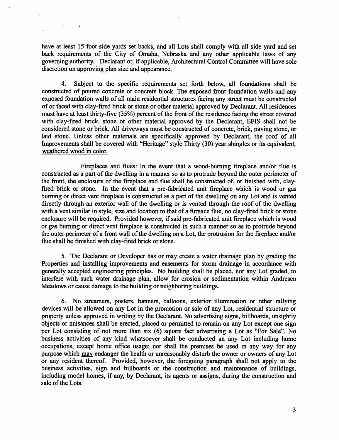have at least 15 foot side yards set backs, and all Lots shall comply with all side yard and set back requirements of the City of Omaha, Nebraska and any other applicable laws of any governing authority. Declarant or, if applicable, Architectural Control Committee will have sole discretion on approving plan size and appearance.

 $\epsilon$ 

 $\pmb{\cdot}$ 

4. Subject to the specific requirements set forth below, all foundations shall be constructed of poured concrete or concrete block. The exposed front foundation walls and any exposed foundation walls of all main residential structures facing any street must be constructed of or faced with clay-fired brick or stone or other material approved by Declarant. All residences must have at least thirty-five (35%) percent of the front of the residence facing the street covered with clay-fired brick, stone or other material approved by the Declarant, EFIS shall not be considered stone or brick. All driveways must be constructed of concrete, brick, paving stone, or laid stone. Unless other materials are specifically approved by Declarant, the roof of all Improvements shall be covered with "Heritage" style Thirty (30) year shingles or its equivalent, weathered wood in color.

Fireplaces and flues: In the event that a wood-burning fireplace and/or flue is constructed as a part of the dwelling in a manner so as to protrude beyond the outer perimeter of the front, the enclosure of the fireplace and flue shall be constructed of, or finished with, clayfired brick or stone. In the event that a pre-fabricated unit fireplace which is wood or gas burning or direct vent fireplace is constructed as a part of the dwelling on any Lot and is vented directly through an exterior wall of the dwelling or is vented through the roof of the dwelling with a vent similar in style, size and location to that of a furnace flue, no clay-fired brick or stone enclosure will be required. Provided however, if said pre-fabricated unit fireplace which is wood or gas burning or direct vent fireplace is constructed in such a manner so as to protrude beyond the outer perimeter of a front wall of the dwelling on a Lot, the protrusion for the fireplace and/or flue shall be finished with clay-fired brick or stone.

5. The Declarant or Developer has or may create a water drainage plan by grading the Properties and installing improvements and easements for storm drainage in accordance with generally accepted engineering principles. No building shall be placed, nor any Lot graded, to interfere with such water drainage plan, allow for erosion or sedimentation within Andresen Meadows or cause damage to the building or neighboring buildings.

6. No streamers, posters, banners, balloons, exterior illumination or other rallying devices will be allowed on any Lot in the promotion or sale of any Lot, residential structure or property unless approved in writing by the Declarant. No advertising signs, billboards, unsightly objects or nuisances shall be erected, placed or permitted to remain on any Lot except one sign per Lot consisting of not more than six (6) square fact advertising a Lot as "For Sale". No business activities of any kind whatsoever shall be conducted an any Lot including home occupations, except home office usage; nor shall the premises be used in any way for any purpose which may endanger the health or unreasonably disturb the owner or owners of any Lot or any resident thereof. Provided, however, the foregoing paragraph shall not apply to the business activities, sign and billboards or the construction and maintenance of buildings, including model homes, if any, by Declarant, its agents or assigns, during the construction and sale of the Lots.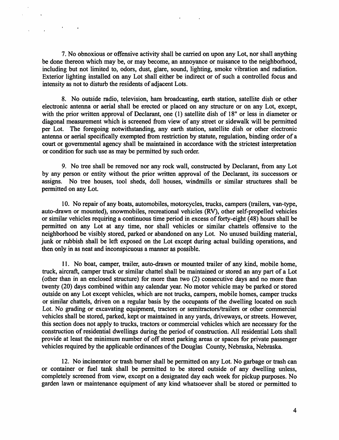7. No obnoxious or offensive activity shall be carried on upon any Lot, nor shall anything be done thereon which may be, or may become, an annoyance or nuisance to the neighborhood, including but not limited to, odors, dust, glare, sound, lighting, smoke vibration and radiation. Exterior lighting installed on any Lot shall either be indirect or of such a controlled focus and intensity as not to disturb the residents of adjacent Lots.

 $\frac{1}{2}$  , and  $\frac{1}{2}$  , and  $\frac{1}{2}$ 

8. No outside radio, television, ham broadcasting, earth station, satellite dish or other electronic antenna or aerial shall be erected or placed on any structure or on any Lot, except, with the prior written approval of Declarant, one (1) satellite dish of 18" or less in diameter or diagonal measurement which is screened from view of any street or sidewalk will be permitted per Lot. The foregoing notwithstanding, any earth station, satellite dish or other electronic antenna or aerial specifically exempted from restriction by statute, regulation, binding order of a court or governmental agency shall be maintained in accordance with the strictest interpretation or condition for such use as may be permitted by such order.

9. No tree shall be removed nor any rock wall, constructed by Declarant, from any Lot by any person or entity without the prior written approval of the Declarant, its successors or assigns. No tree houses, tool sheds, doll houses, windmills or similar structures shall be permitted on any Lot.

10. No repair of any boats, automobiles, motorcycles, trucks, campers (trailers, van-type, auto-drawn or mounted), snowmobiles, recreational vehicles (RV), other self-propelled vehicles or similar vehicles requiring a continuous time period in excess of forty-eight ( 48) hours shall be permitted on any Lot at any time, nor shall vehicles or similar chattels offensive to the neighborhood be visibly stored, parked or abandoned on any Lot. No unused building material, junk or rubbish shall be left exposed on the Lot except during actual building operations, and then only in as neat and inconspicuous a manner as possible.

11. No boat, camper, trailer, auto-drawn or mounted trailer of any kind, mobile home, truck, aircraft, camper truck or similar chattel shall be maintained or stored an any part of a Lot (other than in an enclosed structure) for more than two (2) consecutive days and no more than twenty (20) days combined within any calendar year. No motor vehicle may be parked or stored outside on any Lot except vehicles, which are not trucks, campers, mobile homes, camper trucks or similar chattels, driven on a regular basis by the occupants of the dwelling located on such Lot. No grading or excavating equipment, tractors or semitractors/trailers or other commercial vehicles shall be stored, parked, kept or maintained in any yards, driveways, or streets. However, this section does not apply to trucks, tractors or commercial vehicles which are necessary for the construction of residential dwellings during the period of construction. All residential Lots shall provide at least the minimum number of off street parking areas or spaces for private passenger vehicles required by the applicable ordinances of the Douglas County, Nebraska, Nebraska.

12. No incinerator or trash burner shall be permitted on any Lot. No garbage or trash can or container or fuel tank shall be permitted to be stored outside of any dwelling unless, completely screened from view, except on a designated day each week for pickup purposes. No garden lawn or maintenance equipment of any kind whatsoever shall be stored or permitted to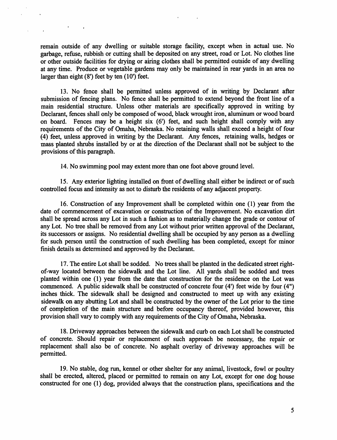remain outside of any dwelling or suitable storage facility, except when in actual use. No garbage, refuse, rubbish or cutting shall be deposited on any street, road or Lot. No clothes line or other outside facilities for drying or airing clothes shall be permitted outside of any dwelling at any time. Produce or vegetable gardens may only be maintained in rear yards in an area no larger than eight  $(8')$  feet by ten  $(10')$  feet.

 $\mathcal{A} = \{x_1, \ldots, x_n\}$ 

13. No fence shall be permitted unless approved of in writing by Declarant after submission of fencing plans. No fence shall be permitted to extend beyond the front line of a main residential structure. Unless other materials are specifically approved in writing by Declarant, fences shall only be composed of wood, black wrought iron, aluminum or wood board on board. Fences may be a height six (6') feet, and such height shall comply with any requirements of the City of Omaha, Nebraska. No retaining walls shall exceed a height of four ( 4) feet, unless approved in writing by the Declarant. Any fences, retaining walls, hedges or mass planted shrubs installed by or at the direction of the Declarant shall not be subject to the provisions of this paragraph.

14. No swimming pool may extent more than one foot above ground level.

15. Any exterior lighting installed on front of dwelling shall either be indirect or of such controlled focus and intensity as not to disturb the residents of any adjacent property.

16. Construction of any Improvement shall be completed within one (1) year from the date of commencement of excavation or construction of the Improvement. No excavation dirt shall be spread across any Lot in such a fashion as to materially change the grade or contour of any Lot. No tree shall be removed from any Lot without prior written approval of the Declarant, its successors or assigns. No residential dwelling shall be occupied by any person as a dwelling for such person until the construction of such dwelling has been completed, except for minor finish details as determined and approved by the Declarant.

17. The entire Lot shall be sodded. No trees shall be planted in the dedicated street rightof-way located between the sidewalk and the Lot line. All yards shall be sodded and trees planted within one (1) year from the date that construction for the residence on the Lot was commenced. A public sidewalk shall be constructed of concrete four (4') feet wide by four (4") inches thick. The sidewalk shall be designed and constructed to meet up with any existing sidewalk on any abutting Lot and shall be constructed by the owner of the Lot prior to the time of completion of the main structure and before occupancy thereof, provided however, this provision shall vary to comply with any requirements of the City of Omaha, Nebraska.

18. Driveway approaches between the sidewalk and curb on each Lot shall be constructed of concrete. Should repair or replacement of such approach be necessary, the repair or replacement shall also be of concrete. No asphalt overlay of driveway approaches will be permitted.

19. No stable, dog run, kennel or other shelter for any animal, livestock, fowl or poultry shall be erected, altered, placed or permitted to remain on any Lot, except for one dog house constructed for one (1) dog, provided always that the construction plans, specifications and the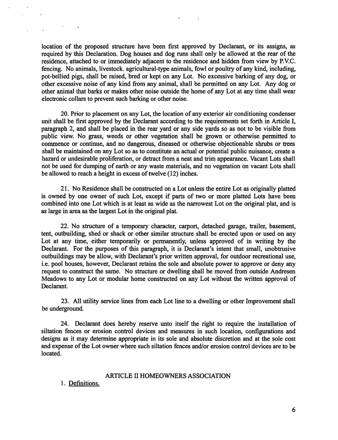location of the proposed structure have been first approved by Declarant, or its assigns, as required by this Declaration. Dog houses and dog runs shall only be allowed at the rear of the residence, attached to or immediately adjacent to the residence and hidden from view by P.V.C. fencing. No animals, livestock. agricultural-type animals, fowl or poultry of any kind, including, pot-bellied pigs, shall be raised, bred or kept on any Lot. No excessive barking of any dog, or other excessive noise of any kind from any animal, shall be permitted on any Lot. Any dog or other animal that barks or makes other noise outside the home of any Lot at any time shall wear electronic collars to prevent such barking or other noise.

20. Prior to placement on any Lot, the location of any exterior air conditioning condenser unit shall be first approved by the Declarant according to the requirements set forth in Article I, paragraph 2, and shall be placed in the rear yard or any side yards so as not to be visible from public view. No grass, weeds or other vegetation shall be grown or otherwise permitted to commence or continue, and no dangerous, diseased or otherwise objectionable shrubs or trees shall be maintained on any Lot so as to constitute an actual or potential public nuisance, create a hazard or undesirable proliferation, or detract from a neat and trim appearance. Vacant Lots shall not be used for dumping of earth or any waste materials, and no vegetation on vacant Lots shall be allowed to reach a height in excess of twelve (12) inches.

21. No Residence shall be constructed on a Lot unless the entire Lot as originally platted is owned by one owner of such Lot, except if parts of two or more platted Lots have been combined into one Lot which is at least as wide as the narrowest Lot on the original plat, and is as large in area as the largest Lot in the original plat.

22. No structure of a temporary character, carport, detached garage, trailer, basement, tent, outbuilding, shed or shack or other similar structure shall be erected upon or used on any Lot at any time, either temporarily or permanently, unless approved of in writing by the Declarant. For the purposes of this paragraph, it is Declarant's intent that small, unobtrusive outbuildings may be allow, with Declarant's prior written approval, for outdoor recreational use, i.e. pool houses, however, Declarant retains the sole and absolute power to approve or deny any request to construct the same. No structure or dwelling shall be moved from outside Andresen Meadows to any Lot or modular home constructed on any Lot without the written approval of Declarant.

23. All utility service lines from each Lot line to a dwelling or other Improvement shall be underground.

24. Declarant does hereby reserve unto itself the right to require the installation of siltation fences or erosion control devices and measures in such location, configurations and designs as it may determine appropriate in its sole and absolute discretion and at the sole cost and expense of the Lot owner where such siltation fences and/or erosion control devices are to be located.

### ARTICLE II HOMEOWNERS ASSOCIATION

1. Definitions.

 $\sim 10^{11}$  km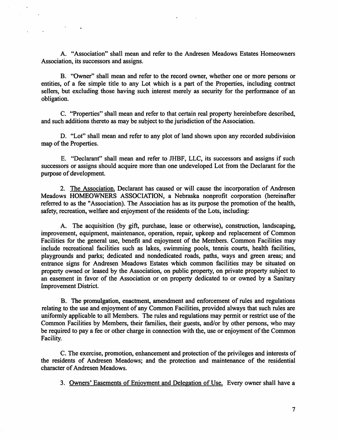A. "Association" shall mean and refer to the Andresen Meadows Estates Homeowners Association, its successors and assigns.

**Contract Contract** 

B. "Owner" shall mean and refer to the record owner, whether one or more persons or entities, of a fee simple title to any Lot which is a part of the Properties, including contract sellers, but excluding those having such interest merely as security for the performance of an obligation.

C. "Properties" shall mean and refer to that certain real property hereinbefore described, and such additions thereto as may be subject to the jurisdiction of the Association.

D. "Lot" shall mean and refer to any plot of land shown upon any recorded subdivision map of the Properties.

E. "Declarant" shall mean and refer to JHBF, LLC, its successors and assigns if such successors or assigns should acquire more than one undeveloped Lot from the Declarant for the purpose of development.

2. The Association. Declarant has caused or will cause the incorporation of Andresen Meadows HOMEOWNERS ASSOCIATION, a Nebraska nonprofit corporation (hereinafter referred to as the "Association). The Association has as its purpose the promotion of the health, safety, recreation, welfare and enjoyment of the residents of the Lots, including:

A. The acquisition (by gift, purchase, lease or otherwise), construction, landscaping, improvement, equipment, maintenance, operation, repair, upkeep and replacement of Common Facilities for the general use, benefit and enjoyment of the Members. Common Facilities may include recreational facilities such as lakes, swimming pools, tennis courts, health facilities, playgrounds and parks; dedicated and nondedicated roads, paths, ways and green areas; and entrance signs for Andresen Meadows Estates which common facilities may be situated on property owned or leased by the Association, on public property, on private property subject to an easement in favor of the Association or on property dedicated to or owned by a Sanitary Improvement District.

B. The promulgation, enactment, amendment and enforcement of rules and regulations relating to the use and enjoyment of any Common Facilities, provided always that such rules are uniformly applicable to all Members. The rules and regulations may permit or restrict use of the Common Facilities by Members, their families, their guests, and/or by other persons, who may be required to pay a fee or other charge in connection with the, use or enjoyment of the Common Facility.

C. The exercise, promotion, enhancement and protection of the privileges and interests of the residents of Andresen Meadows; and the protection and maintenance of the residential character of Andresen Meadows.

3. Owners' Easements of Enjoyment and Delegation of Use. Every owner shall have a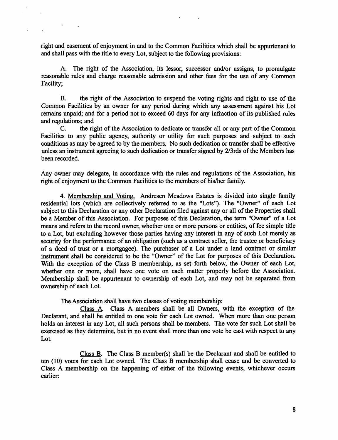right and easement of enjoyment in and to the Common Facilities which shall be appurtenant to and shall pass with the title to every Lot, subject to the following provisions:

A. The right of the Association, its lessor, successor and/or assigns, to promulgate reasonable rules and charge reasonable admission and other fees for the use of any Common Facility;

B. the right of the Association to suspend the voting rights and right to use of the Common Facilities by an owner for any period during which any assessment against his Lot remains unpaid; and for a period not to exceed 60 days for any infraction of its published rules and regulations; and

C. the right of the Association to dedicate or transfer all or any part of the Common Facilities to any public agency, authority or utility for such purposes and subject to such conditions as may be agreed to by the members. No such dedication or transfer shall be effective unless an instrument agreeing to such dedication or transfer signed by 2/3rds of the Members has been recorded.

Any owner may delegate, in accordance with the rules and regulations of the Association, his right of enjoyment to the Common Facilities to the members of his/her family.

4. Membership and Voting. Andresen Meadows Estates is divided into single family residential lots (which are collectively referred to as the "Lots"). The "Owner" of each Lot subject to this Declaration or any other Declaration filed against any or all of the Properties shall be a Member of this Association. For purposes of this Declaration, the term "Owner" of a Lot means and refers to the record owner, whether one or more persons or entities, of fee simple title to a Lot, but excluding however those parties having any interest in any of such Lot merely as security for the performance of an obligation (such as a contract seller, the trustee or beneficiary of a deed of trust or a mortgagee). The purchaser of a Lot under a land contract or similar instrument shall be considered to be the "Owner" of the Lot for purposes of this Declaration. With the exception of the Class B membership, as set forth below, the Owner of each Lot, whether one or more, shall have one vote on each matter properly before the Association. Membership shall be appurtenant to ownership of each Lot, and may not be separated from ownership of each Lot.

The Association shall have two classes of voting membership:

Class A Class A members shall be all Owners, with the exception of the Declarant, and shall be entitled to one vote for each Lot owned. When more than one person holds an interest in any Lot, all such persons shall be members. The vote for such Lot shall be exercised as they determine, but in no event shall more than one vote be cast with respect to any Lot.

Class B. The Class B member(s) shall be the Declarant and shall be entitled to ten (10) votes for each Lot owned. The Class B membership shall cease and be converted to Class A membership on the happening of either of the following events, whichever occurs earlier: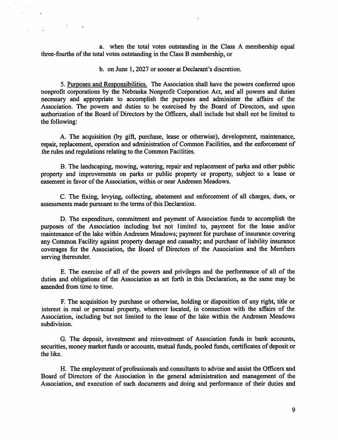a. when the total votes outstanding in the Class A membership equal three-fourths of the total votes outstanding in the Class B membership, or

 $\ddot{\phantom{a}}$ 

b. on June 1, 2027 or sooner at Declarant's discretion.

5. Purposes and Responsibilities. The Association shall have the powers conferred upon nonprofit corporations by the Nebraska Nonprofit Corporation Act, and all powers and duties necessary and appropriate to accomplish the purposes and administer the affairs of the Association. The powers and duties to be exercised by the Board of Directors, and upon authorization of the Board of Directors by the Officers, shall include but shall not be limited to the following:

A. The acquisition (by gift, purchase, lease or otherwise), development, maintenance, repair, replacement, operation and administration of Common Facilities, and the enforcement of the rules and regulations relating to the Common Facilities.

B. The landscaping, mowing, watering, repair and replacement of parks and other public property and improvements on parks or public property or property, subject to a lease or easement in favor of the Association, within or near Andresen Meadows.

C. The fixing, levying, collecting, abatement and enforcement of all charges, dues, or assessments made pursuant to the terms of this Declaration.

D. The expenditure, commitment and payment of Association funds to accomplish the purposes of the Association including but not limited to, payment for the lease and/or maintenance of the lake within Andresen Meadows; payment for purchase of insurance covering any Common Facility against property damage and casualty; and purchase of liability insurance coverages for the Association, the Board of Directors of the Association and the Members serving thereunder.

E. The exercise of all of the powers and privileges and the performance of all of the duties and obligations of the Association as set forth in this Declaration, as the same may be amended from time to time.

F. The acquisition by purchase or otherwise, holding or disposition of any right, title or interest in real or personal property, wherever located, in connection with the affairs of the Association, including but not limited to the lease of the lake within the Andresen Meadows subdivision.

G. The deposit, investment and reinvestment of Association funds in bank accounts, securities, money market funds or accounts, mutual funds, pooled funds, certificates of deposit or the like.

H. The employment of professionals and consultants to advise and assist the Officers and Board of Directors of the Association in the general administration and management of the Association, and execution of such documents and doing and performance of their duties and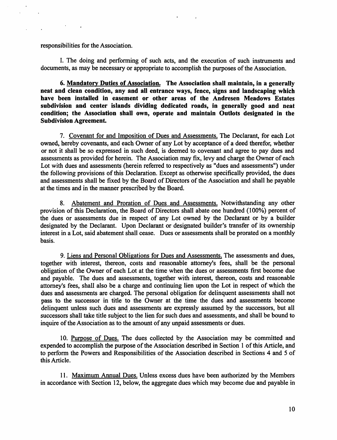responsibilities for the Association.

I. The doing and performing of such acts, and the execution of such instruments and documents, as may be necessary or appropriate to accomplish the purposes of the Association.

6. Mandatory Duties of Association. The Association shall maintain, in a generally neat and clean condition, any and all entrance ways, fence, signs and landscaping which have been installed in easement or other areas of the Andresen Meadows Estates subdivision and center islands dividing dedicated roads, in generally good and neat condition; the Association shall own, operate and maintain Outlots designated in the Subdivision Agreement.

7. Covenant for and Imposition of Dues and Assessments. The Declarant, for each Lot owned, hereby covenants, and each Owner of any Lot by acceptance of a deed therefor, whether or not it shall be so expressed in such deed, is deemed to covenant and agree to pay dues and assessments as provided for herein. The Association may fix, levy and charge the Owner of each Lot with dues and assessments (herein referred to respectively as "dues and assessments") under the following provisions of this Declaration. Except as otherwise specifically provided, the dues and assessments shall be fixed by the Board of Directors of the Association and shall he payable at the times and in the manner prescribed by the Board.

8. Abatement and Proration of Dues and Assessments. Notwithstanding any other provision of this Declaration, the Board of Directors shall abate one hundred ( 100%) percent of the dues or assessments due in respect of any Lot owned by the Declarant or by a builder designated by the Declarant. Upon Declarant or designated builder's transfer of its ownership interest in a Lot, said abatement shall cease. Dues or assessments shall be prorated on a monthly basis.

9. Liens and Personal Obligations for Dues and Assessments. The assessments and dues, together with interest, thereon, costs and reasonable attorney's fees, shall be the personal obligation of the Owner of each Lot at the time when the dues or assessments first become due and payable. The dues and assessments, together with interest, thereon, costs and reasonable attorney's fees, shall also be a charge and continuing lien upon the Lot in respect of which the dues and assessments are charged. The personal obligation for delinquent assessments shall not pass to the successor in title to the Owner at the time the dues and assessments become delinquent unless such dues and assessments are expressly assumed by the successors, but all successors shall take title subject to the lien for such dues and assessments, and shall be bound to inquire of the Association as to the amount of any unpaid assessments or dues.

10. Puroose of Dues. The dues collected by the Association may be committed and expended to accomplish the purpose of the Association described in Section 1 of this Article, and to perform the Powers and Responsibilities of the Association described in Sections 4 and 5 of this Article.

11. Maximum Annual Dues. Unless excess dues have been authorized by the Members in accordance with Section 12, below, the aggregate dues which may become due and payable in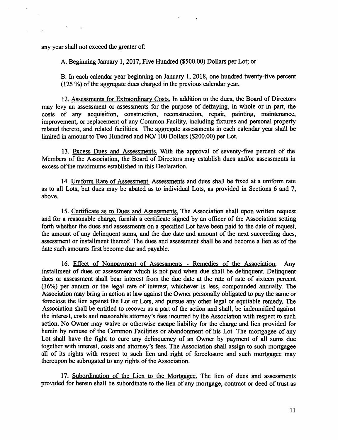any year shall not exceed the greater of:

A. Beginning January 1, 2017, Five Hundred (\$500.00) Dollars per Lot; or

B. In each calendar year beginning on January 1, 2018, one hundred twenty-five percent ( 125 % ) of the aggregate dues charged in the previous calendar year.

12. Assessments for Extraordinary Costs. In addition to the dues, the Board of Directors may levy an assessment or assessments for the purpose of defraying, in whole or in part, the costs of any acquisition, construction, reconstruction, repair, painting, maintenance, improvement, or replacement of any Common Facility, including fixtures and personal property related thereto, and related facilities. The aggregate assessments in each calendar year shall be limited in amount to Two Hundred and NO/ 100 Dollars (\$200.00) per Lot.

13. Excess Dues and Assessments. With the approval of seventy-five percent of the Members of the Association, the Board of Directors may establish dues and/or assessments in excess of the maximums established in this Declaration.

14. Uniform Rate of Assessment. Assessments and dues shall be fixed at a uniform rate as to all Lots, but dues may be abated as to individual Lots, as provided in Sections 6 and 7, above.

15. Certificate as to Dues and Assessments. The Association shall upon written request and for a reasonable charge, furnish a certificate signed by an officer of the Association setting forth whether the dues and assessments on a specified Lot have been paid to the date of request, the amount of any delinquent sums, and the due date and amount of the next succeeding dues, assessment or installment thereof. The dues and assessment shall be and become a lien as of the date such amounts first become due and payable.

16. Effect of Nonpayment of Assessments - Remedies of the Association. Any installment of dues or assessment which is not paid when due shall be delinquent. Delinquent dues or assessment shall bear interest from the due date at the rate of rate of sixteen percent ( 16%) per annum or the legal rate of interest, whichever is less, compounded annually. The Association may bring in action at law against the Owner personally obligated to pay the same or foreclose the lien against the Lot or Lots, and pursue any other legal or equitable remedy. The Association shall be entitled to recover as a part of the action and shall, be indemnified against the interest, costs and reasonable attorney's fees incurred by the Association with respect to such action. No Owner may waive or otherwise escape liability for the charge and lien provided for herein by nonuse of the Common Facilities or abandonment of his Lot. The mortgagee of any Lot shall have the fight to cure any delinquency of an Owner by payment of all sums due together with interest, costs and attorney's fees. The Association shall assign to such mortgagee all of its rights with respect to such lien and right of foreclosure and such mortgagee may thereupon be subrogated to any rights of the Association.

17. Subordination of the Lien to the Mortgagee. The lien of dues and assessments provided for herein shall be subordinate to the lien of any mortgage, contract or deed of trust as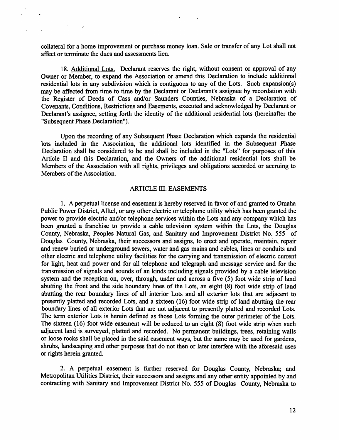collateral for a home improvement or purchase money loan. Sale or transfer of any Lot shall not affect or terminate the dues and assessments lien.

18. Additional Lots. Declarant reserves the right, without consent or approval of any Owner or Member, to expand the Association or amend this Declaration to include additional residential lots in any subdivision which is contiguous to any of the Lots. Such expansion(s) may be affected from time to time by the Declarant or Declarant's assignee by recordation with the Register of Deeds of Cass and/or Saunders Counties, Nebraska of a Declaration of Covenants, Conditions, Restrictions and Easements, executed and acknowledged by Declarant or Declarant's assignee, setting forth the identity of the additional residential lots (hereinafter the "Subsequent Phase Declaration").

Upon the recording of any Subsequent Phase Declaration which expands the residential lots included in the Association, the additional lots identified in the Subsequent Phase Declaration shall be considered to be and shall be included in the "Lots" for purposes of this Article II and this Declaration, and the Owners of the additional residential lots shall be Members of the Association with all rights, privileges and obligations accorded or accruing to Members of the Association.

#### ARTICLE III. EASEMENTS

1. A perpetual license and easement is hereby reserved in favor of and granted to Omaha Public Power District, Alltel, or any other electric or telephone utility which has been granted the power to provide electric and/or telephone services within the Lots and any company which has been granted a franchise to provide a cable television system within the Lots, the Douglas County, Nebraska, Peoples Natural Gas, and Sanitary and Improvement District No. 555 of Douglas County, Nebraska, their successors and assigns, to erect and operate, maintain, repair and renew buried or underground sewers, water and gas mains and cables, lines or conduits and other electric and telephone utility facilities for the carrying and transmission of electric current for light, heat and power and for all telephone and telegraph and message service and for the transmission of signals and sounds of an kinds including signals provided by a cable television system and the reception on, over, through, under and across a five (5) foot wide strip of land abutting the front and the side boundary lines of the Lots, an eight (8) foot wide strip of land abutting the rear boundary lines of all interior Lots and all exterior lots that are adjacent to presently platted and recorded Lots, and a sixteen ( 16) foot wide strip of land abutting the rear boundary lines of all exterior Lots that are not adjacent to presently platted and recorded Lots. The term exterior Lots is herein defined as those Lots forming the outer perimeter of the Lots. The sixteen (16) foot wide easement will be reduced to an eight (8) foot wide strip when such adjacent land is surveyed, platted and recorded. No permanent buildings, trees, retaining walls or loose rocks shall be placed in the said easement ways, but the same may be used for gardens, shrubs, landscaping and other purposes that do not then or later interfere with the aforesaid uses or rights herein granted.

2. A perpetual easement is further reserved for Douglas County, Nebraska; and Metropolitan Utilities District, their successors and assigns and any other entity appointed by and contracting with Sanitary and Improvement District No. 555 of Douglas County, Nebraska to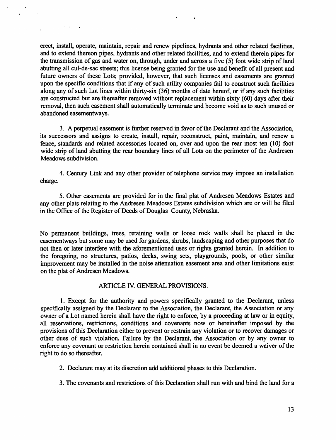erect, install, operate, maintain, repair and renew pipelines, hydrants and other related facilities, and to extend thereon pipes, hydrants and other related facilities, and to extend therein pipes for the transmission of gas and water on, through, under and across a five (5) foot wide strip of land abutting all cul-de-sac streets; this license being granted for the use and benefit of all present and future owners of these Lots; provided, however, that such licenses and easements are granted upon the specific conditions that if any of such utility companies fail to construct such facilities along any of such Lot lines within thirty-six (36) months of date hereof, or if any such facilities are constructed but are thereafter removed without replacement within sixty (60) days after their removal, then such easement shall automatically terminate and become void as to such unused or abandoned easementways.

 $\mathcal{S}^{\pm}$  is  $\mathcal{S}^{\pm}$  .

3. A perpetual easement is further reserved in favor of the Declarant and the Association, its successors and assigns to create, install, repair, reconstruct, paint, maintain, and renew a fence, standards and related accessories located on, over and upon the rear most ten (10) foot wide strip of land abutting the rear boundary lines of all Lots on the perimeter of the Andresen Meadows subdivision.

4. Century Link and any other provider of telephone service may impose an installation charge.

5. Other easements are provided for in the final plat of Andresen Meadows Estates and any other plats relating to the Andresen Meadows Estates subdivision which are or will be filed in the Office of the Register of Deeds of Douglas County, Nebraska.

No permanent buildings, trees, retaining walls or loose rock walls shall be placed in the easementways but some may be used for gardens, shrubs, landscaping and other purposes that do not then or later interfere with the aforementioned uses or rights granted herein. In addition to the foregoing, no structures, patios, decks, swing sets, playgrounds, pools, or other similar improvement may be installed in the noise attenuation easement area and other limitations exist on the plat of Andresen Meadows.

### ARTICLE IV. GENERAL PROVISIONS.

1. Except for the authority and powers specifically granted to the Declarant, unless specifically assigned by the Declarant to the Association, the Declarant, the Association or any owner of a Lot named herein shall have the right to enforce, by a proceeding at law or in equity, all reservations, restrictions, conditions and covenants now or hereinafter imposed by the provisions of this Declaration either to prevent or restrain any violation or to recover damages or other dues of such violation. Failure by the Declarant, the Association or by any owner to enforce any covenant or restriction herein contained shall in no event be deemed a waiver of the right to do so thereafter.

- 2. Declarant may at its discretion add additional phases to this Declaration.
- 3. The covenants and restrictions of this Declaration shall run with and bind the land for a